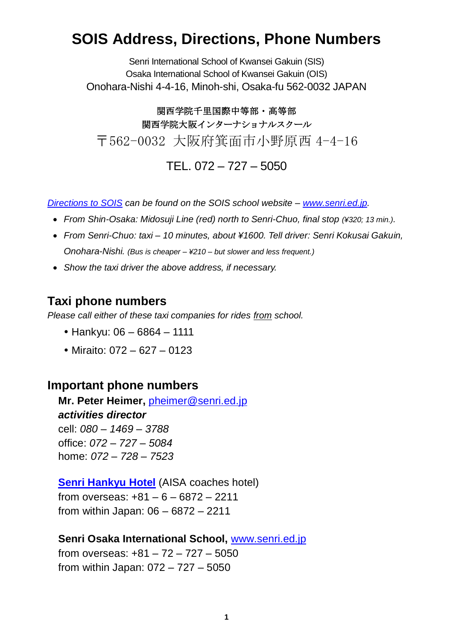# **SOIS Address, Directions, Phone Numbers**

Senri International School of Kwansei Gakuin (SIS) Osaka International School of Kwansei Gakuin (OIS) Onohara-Nishi 4-4-16, Minoh-shi, Osaka-fu 562-0032 JAPAN

関西学院千里国際中等部・高等部 関西学院大阪インターナショナルスクール 〒562-0032 大阪府箕面市小野原西 4-4-16 TEL. 072 – 727 – 5050

*[Directions to SOIS](http://www.senri.ed.jp/site/index.php?option=com_content&view=article&id=57&Itemid=278&lang=en) can be found on the SOIS school website – [www.senri.ed.jp.](http://www.senri.ed.jp/)*

- From Shin-Osaka: Midosuji Line (red) north to Senri-Chuo, final stop (¥320; 13 min.).
- *From Senri-Chuo: taxi – 10 minutes, about ¥1600. Tell driver: Senri Kokusai Gakuin, Onohara-Nishi. (Bus is cheaper – ¥210 – but slower and less frequent.)*
- *Show the taxi driver the above address, if necessary.*

## **Taxi phone numbers**

*Please call either of these taxi companies for rides from school.* 

- Hankyu: 06 6864 1111
- $\bullet$  Miraito: 072 627 0123

## **Important phone numbers**

**Mr. Peter Heimer,** [pheimer@senri.ed.jp](mailto:pheimer@senri.ed.jp) *activities director* cell: *080 – 1469 – 3788* office: *072 – 727 – 5084* home: *072 – 728 – 7523*

## **[Senri Hankyu Hotel](http://www.hankyu-hotel.com/cgi-bin2/cms2/index_en.cgi?hid=23senrihh)** (AISA coaches hotel)

from overseas: +81 – 6 – 6872 – 2211 from within Japan: 06 – 6872 – 2211

## **Senri Osaka International School,** [www.senri.ed.jp](http://www.senri.ed.jp/)

from overseas: +81 – 72 – 727 – 5050 from within Japan: 072 – 727 – 5050